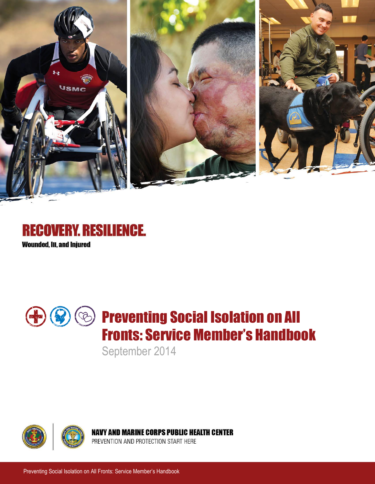





September 2014



**NAVY AND MARINE CORPS PUBLIC HEALTH CENTER** 

PREVENTION AND PROTECTION START HERE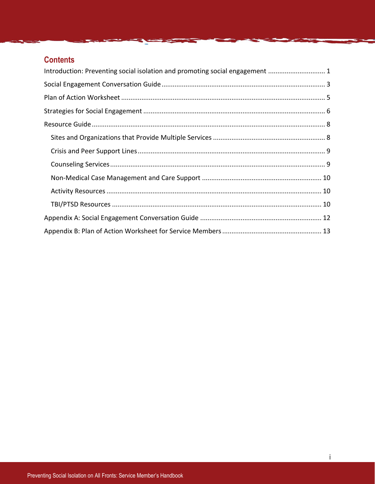## **Contents**

| Introduction: Preventing social isolation and promoting social engagement  1 |  |
|------------------------------------------------------------------------------|--|
|                                                                              |  |
|                                                                              |  |
|                                                                              |  |
|                                                                              |  |
|                                                                              |  |
|                                                                              |  |
|                                                                              |  |
|                                                                              |  |
|                                                                              |  |
|                                                                              |  |
|                                                                              |  |
|                                                                              |  |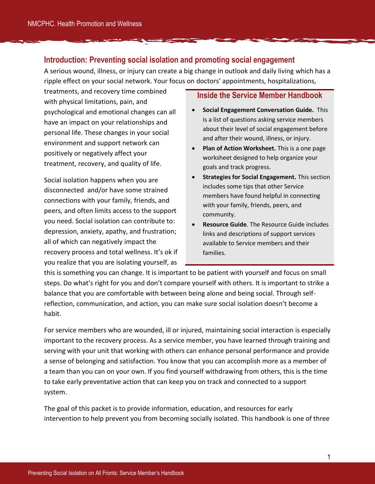## <span id="page-2-0"></span>**Introduction: Preventing social isolation and promoting social engagement**

A serious wound, illness, or injury can create a big change in outlook and daily living which has a ripple effect on your social network. Your focus on doctors' appointments, hospitalizations,

treatments, and recovery time combined with physical limitations, pain, and psychological and emotional changes can all have an impact on your relationships and personal life. These changes in your social environment and support network can positively or negatively affect your treatment, recovery, and quality of life.

Social isolation happens when you are disconnected and/or have some strained connections with your family, friends, and peers, and often limits access to the support you need. Social isolation can contribute to: depression, anxiety, apathy, and frustration; all of which can negatively impact the recovery process and total wellness. It's ok if you realize that you are isolating yourself, as

#### **Inside the Service Member Handbook**

- **Social Engagement Conversation Guide.** This is a list of questions asking service members about their level of social engagement before and after their wound, illness, or injury.
- **Plan of Action Worksheet.** This is a one page worksheet designed to help organize your goals and track progress.
- **•** Strategies for Social Engagement. This section includes some tips that other Service members have found helpful in connecting with your family, friends, peers, and community.
- **Resource Guide**. The Resource Guide includes links and descriptions of support services available to Service members and their families.

this is something you can change. It is important to be patient with yourself and focus on small steps. Do what's right for you and don't compare yourself with others. It is important to strike a balance that you are comfortable with between being alone and being social. Through selfreflection, communication, and action, you can make sure social isolation doesn't become a habit.

For service members who are wounded, ill or injured, maintaining social interaction is especially important to the recovery process. As a service member, you have learned through training and serving with your unit that working with others can enhance personal performance and provide a sense of belonging and satisfaction. You know that you can accomplish more as a member of a team than you can on your own. If you find yourself withdrawing from others, this is the time to take early preventative action that can keep you on track and connected to a support system.

The goal of this packet is to provide information, education, and resources for early intervention to help prevent you from becoming socially isolated. This handbook is one of three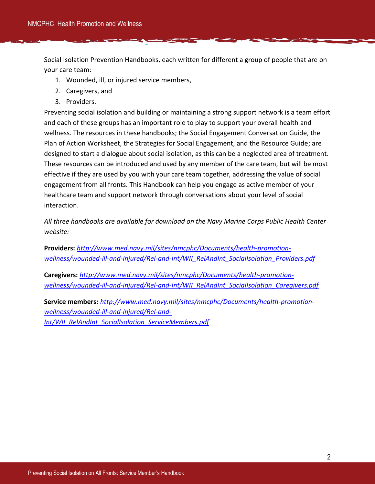Social Isolation Prevention Handbooks, each written for different a group of people that are on your care team:

- 1. Wounded, ill, or injured service members,
- 2. Caregivers, and
- 3. Providers.

Preventing social isolation and building or maintaining a strong support network is a team effort and each of these groups has an important role to play to support your overall health and wellness. The resources in these handbooks; the Social Engagement Conversation Guide, the Plan of Action Worksheet, the Strategies for Social Engagement, and the Resource Guide; are designed to start a dialogue about social isolation, as this can be a neglected area of treatment. These resources can be introduced and used by any member of the care team, but will be most effective if they are used by you with your care team together, addressing the value of social engagement from all fronts. This Handbook can help you engage as active member of your healthcare team and support network through conversations about your level of social interaction.

*All three handbooks are available for download on the Navy Marine Corps Public Health Center website:* 

**Providers:** *[http://www.med.navy.mil/sites/nmcphc/Documents/health-promotion](http://www.med.navy.mil/sites/nmcphc/Documents/health-promotion-wellness/wounded-ill-and-injured/Rel-and-Int/WII_RelAndInt_SocialIsolation_Providers.pdf)[wellness/wounded-ill-and-injured/Rel-and-Int/WII\\_RelAndInt\\_SocialIsolation\\_Providers.pdf](http://www.med.navy.mil/sites/nmcphc/Documents/health-promotion-wellness/wounded-ill-and-injured/Rel-and-Int/WII_RelAndInt_SocialIsolation_Providers.pdf)*

**Caregivers:** *[http://www.med.navy.mil/sites/nmcphc/Documents/health-promotion](http://www.med.navy.mil/sites/nmcphc/Documents/health-promotion-wellness/wounded-ill-and-injured/Rel-and-Int/WII_RelAndInt_SocialIsolation_Caregivers.pdf)[wellness/wounded-ill-and-injured/Rel-and-Int/WII\\_RelAndInt\\_SocialIsolation\\_Caregivers.pdf](http://www.med.navy.mil/sites/nmcphc/Documents/health-promotion-wellness/wounded-ill-and-injured/Rel-and-Int/WII_RelAndInt_SocialIsolation_Caregivers.pdf)*

**Service members:** *[http://www.med.navy.mil/sites/nmcphc/Documents/health-promotion](http://www.med.navy.mil/sites/nmcphc/Documents/health-promotion-wellness/wounded-ill-and-injured/Rel-and-Int/WII_RelAndInt_SocialIsolation_ServiceMembers.pdf)[wellness/wounded-ill-and-injured/Rel-and-](http://www.med.navy.mil/sites/nmcphc/Documents/health-promotion-wellness/wounded-ill-and-injured/Rel-and-Int/WII_RelAndInt_SocialIsolation_ServiceMembers.pdf)[Int/WII\\_RelAndInt\\_SocialIsolation\\_ServiceMembers.pdf](http://www.med.navy.mil/sites/nmcphc/Documents/health-promotion-wellness/wounded-ill-and-injured/Rel-and-Int/WII_RelAndInt_SocialIsolation_ServiceMembers.pdf)*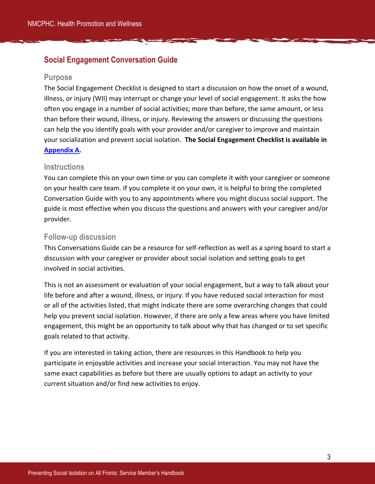## <span id="page-4-0"></span>**Social Engagement Conversation Guide**

#### **Purpose**

The Social Engagement Checklist is designed to start a discussion on how the onset of a wound, illness, or injury (WII) may interrupt or change your level of social engagement. It asks the how often you engage in a number of social activities; more than before, the same amount, or less than before their wound, illness, or injury. Reviewing the answers or discussing the questions can help the you identify goals with your provider and/or caregiver to improve and maintain your socialization and prevent social isolation. **The Social Engagement Checklist is available in [Appendix A.](#page-15-1)** 

#### **Instructions**

You can complete this on your own time or you can complete it with your caregiver or someone on your health care team. If you complete it on your own, it is helpful to bring the completed Conversation Guide with you to any appointments where you might discuss social support. The guide is most effective when you discuss the questions and answers with your caregiver and/or provider.

#### **Follow-up discussion**

This Conversations Guide can be a resource for self-reflection as well as a spring board to start a discussion with your caregiver or provider about social isolation and setting goals to get involved in social activities.

This is not an assessment or evaluation of your social engagement, but a way to talk about your life before and after a wound, illness, or injury. If you have reduced social interaction for most or all of the activities listed, that might indicate there are some overarching changes that could help you prevent social isolation. However, if there are only a few areas where you have limited engagement, this might be an opportunity to talk about why that has changed or to set specific goals related to that activity.

If you are interested in taking action, there are resources in this Handbook to help you participate in enjoyable activities and increase your social interaction. You may not have the same exact capabilities as before but there are usually options to adapt an activity to your current situation and/or find new activities to enjoy.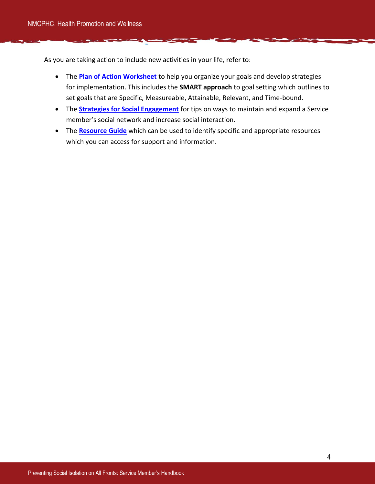As you are taking action to include new activities in your life, refer to:

- The **[Plan of Action Worksheet](#page-15-1)** to help you organize your goals and develop strategies for implementation. This includes the **SMART approach** to goal setting which outlines to set goals that are Specific, Measureable, Attainable, Relevant, and Time-bound.
- The **[Strategies for Social Engagement](#page-7-0)** for tips on ways to maintain and expand a Service member's social network and increase social interaction.
- The **[Resource Guide](#page-8-0)** which can be used to identify specific and appropriate resources which you can access for support and information.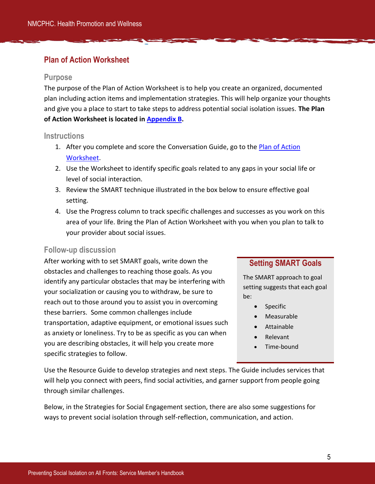## <span id="page-6-0"></span>**Plan of Action Worksheet**

#### **Purpose**

The purpose of the Plan of Action Worksheet is to help you create an organized, documented plan including action items and implementation strategies. This will help organize your thoughts and give you a place to start to take steps to address potential social isolation issues. **The Plan of Action Worksheet is located i[n Appendix B.](#page-15-1)** 

#### **Instructions**

- 1. After you complete and score the Conversation Guide, go to the Plan of Action [Worksheet.](#page-15-1)
- 2. Use the Worksheet to identify specific goals related to any gaps in your social life or level of social interaction.
- 3. Review the SMART technique illustrated in the box below to ensure effective goal setting.
- 4. Use the Progress column to track specific challenges and successes as you work on this area of your life. Bring the Plan of Action Worksheet with you when you plan to talk to your provider about social issues.

### **Follow-up discussion**

After working with to set SMART goals, write down the obstacles and challenges to reaching those goals. As you identify any particular obstacles that may be interfering with your socialization or causing you to withdraw, be sure to reach out to those around you to assist you in overcoming these barriers. Some common challenges include transportation, adaptive equipment, or emotional issues such as anxiety or loneliness. Try to be as specific as you can when you are describing obstacles, it will help you create more specific strategies to follow.

## **Setting SMART Goals**

The SMART approach to goal setting suggests that each goal be:

- Specific
- Measurable
- Attainable
- Relevant
- Time-bound

Use the Resource Guide to develop strategies and next steps. The Guide includes services that will help you connect with peers, find social activities, and garner support from people going through similar challenges.

Below, in the Strategies for Social Engagement section, there are also some suggestions for ways to prevent social isolation through self-reflection, communication, and action.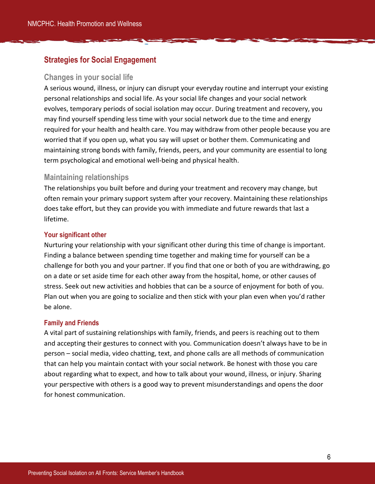## <span id="page-7-0"></span>**Strategies for Social Engagement**

#### **Changes in your social life**

A serious wound, illness, or injury can disrupt your everyday routine and interrupt your existing personal relationships and social life. As your social life changes and your social network evolves, temporary periods of social isolation may occur. During treatment and recovery, you may find yourself spending less time with your social network due to the time and energy required for your health and health care. You may withdraw from other people because you are worried that if you open up, what you say will upset or bother them. Communicating and maintaining strong bonds with family, friends, peers, and your community are essential to long term psychological and emotional well-being and physical health.

## **Maintaining relationships**

The relationships you built before and during your treatment and recovery may change, but often remain your primary support system after your recovery. Maintaining these relationships does take effort, but they can provide you with immediate and future rewards that last a lifetime.

#### **Your significant other**

Nurturing your relationship with your significant other during this time of change is important. Finding a balance between spending time together and making time for yourself can be a challenge for both you and your partner. If you find that one or both of you are withdrawing, go on a date or set aside time for each other away from the hospital, home, or other causes of stress. Seek out new activities and hobbies that can be a source of enjoyment for both of you. Plan out when you are going to socialize and then stick with your plan even when you'd rather be alone.

#### **Family and Friends**

A vital part of sustaining relationships with family, friends, and peers is reaching out to them and accepting their gestures to connect with you. Communication doesn't always have to be in person – social media, video chatting, text, and phone calls are all methods of communication that can help you maintain contact with your social network. Be honest with those you care about regarding what to expect, and how to talk about your wound, illness, or injury. Sharing your perspective with others is a good way to prevent misunderstandings and opens the door for honest communication.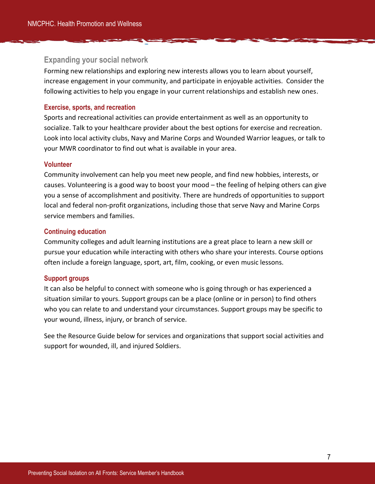#### **Expanding your social network**

Forming new relationships and exploring new interests allows you to learn about yourself, increase engagement in your community, and participate in enjoyable activities. Consider the following activities to help you engage in your current relationships and establish new ones.

#### **Exercise, sports, and recreation**

Sports and recreational activities can provide entertainment as well as an opportunity to socialize. Talk to your healthcare provider about the best options for exercise and recreation. Look into local activity clubs, Navy and Marine Corps and Wounded Warrior leagues, or talk to your MWR coordinator to find out what is available in your area.

#### **Volunteer**

Community involvement can help you meet new people, and find new hobbies, interests, or causes. Volunteering is a good way to boost your mood – the feeling of helping others can give you a sense of accomplishment and positivity. There are hundreds of opportunities to support local and federal non-profit organizations, including those that serve Navy and Marine Corps service members and families.

#### **Continuing education**

Community colleges and adult learning institutions are a great place to learn a new skill or pursue your education while interacting with others who share your interests. Course options often include a foreign language, sport, art, film, cooking, or even music lessons.

#### **Support groups**

It can also be helpful to connect with someone who is going through or has experienced a situation similar to yours. Support groups can be a place (online or in person) to find others who you can relate to and understand your circumstances. Support groups may be specific to your wound, illness, injury, or branch of service.

<span id="page-8-0"></span>See the Resource Guide below for services and organizations that support social activities and support for wounded, ill, and injured Soldiers.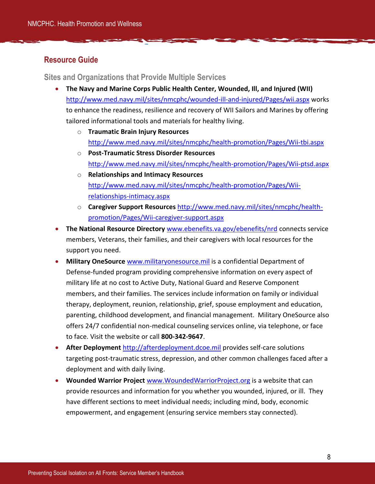## <span id="page-9-0"></span>**Resource Guide**

<span id="page-9-1"></span>**Sites and Organizations that Provide Multiple Services**

- **The Navy and Marine Corps Public Health Center, Wounded, Ill, and Injured (WII)**  <http://www.med.navy.mil/sites/nmcphc/wounded-ill-and-injured/Pages/wii.aspx> works to enhance the readiness, resilience and recovery of WII Sailors and Marines by offering tailored informational tools and materials for healthy living.
	- o **Traumatic Brain Injury Resources**  <http://www.med.navy.mil/sites/nmcphc/health-promotion/Pages/Wii-tbi.aspx>
	- o **Post-Traumatic Stress Disorder Resources**  <http://www.med.navy.mil/sites/nmcphc/health-promotion/Pages/Wii-ptsd.aspx>
	- o **Relationships and Intimacy Resources**  [http://www.med.navy.mil/sites/nmcphc/health-promotion/Pages/Wii](http://www.med.navy.mil/sites/nmcphc/health-promotion/Pages/Wii-relationships-intimacy.aspx)[relationships-intimacy.aspx](http://www.med.navy.mil/sites/nmcphc/health-promotion/Pages/Wii-relationships-intimacy.aspx)
	- o **Caregiver Support Resources** [http://www.med.navy.mil/sites/nmcphc/health](http://www.med.navy.mil/sites/nmcphc/health-promotion/Pages/Wii-caregiver-support.aspx)[promotion/Pages/Wii-caregiver-support.aspx](http://www.med.navy.mil/sites/nmcphc/health-promotion/Pages/Wii-caregiver-support.aspx)
- **The National Resource Directory** [www.ebenefits.va.gov/ebenefits/nrd](http://www.ebenefits.va.gov/ebenefits/nrd) connects service members, Veterans, their families, and their caregivers with local resources for the support you need.
- **Military OneSource** [www.militaryonesource.mil](http://www.militaryonesource.mil/) is a confidential Department of Defense-funded program providing comprehensive information on every aspect of military life at no cost to Active Duty, National Guard and Reserve Component members, and their families. The services include information on family or individual therapy, deployment, reunion, relationship, grief, spouse employment and education, parenting, childhood development, and financial management. Military OneSource also offers 24/7 confidential non-medical counseling services online, via telephone, or face to face. Visit the website or call **800-342-9647**.
- **After Deployment** [http://afterdeployment.dcoe.mil](http://afterdeployment.dcoe.mil/) provides self-care solutions targeting post-traumatic stress, depression, and other common challenges faced after a deployment and with daily living.
- **Wounded Warrior Project** [www.WoundedWarriorProject.org](http://www.woundedwarriorproject.org/) is a website that can provide resources and information for you whether you wounded, injured, or ill. They have different sections to meet individual needs; including mind, body, economic empowerment, and engagement (ensuring service members stay connected).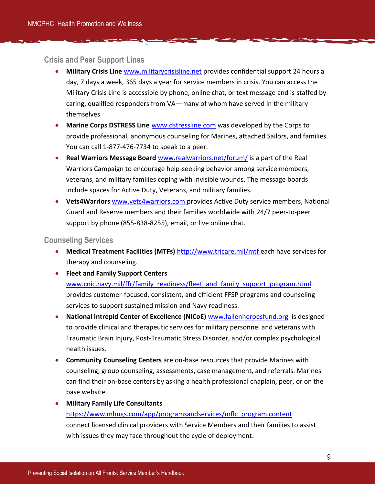#### <span id="page-10-0"></span>**Crisis and Peer Support Lines**

- **Military Crisis Line** [www.militarycrisisline.net](http://www.militarycrisisline.net/) provides confidential support 24 hours a day, 7 days a week, 365 days a year for service members in crisis. You can access the Military Crisis Line is accessible by phone, online chat, or text message and is staffed by caring, qualified responders from VA—many of whom have served in the military themselves.
- **Marine Corps DSTRESS Line** [www.dstressline.com](http://www.dstressline.com/) was developed by the Corps to provide professional, anonymous counseling for Marines, attached Sailors, and families. You can call 1-877-476-7734 to speak to a peer.
- **Real Warriors Message Board** [www.realwarriors.net/forum/](http://www.realwarriors.net/forum/) is a part of the Real Warriors Campaign to encourage help-seeking behavior among service members, veterans, and military families coping with invisible wounds. The message boards include spaces for Active Duty, Veterans, and military families.
- **Vets4Warriors** [www.vets4warriors.com](http://www.vets4warriors.com/) provides Active Duty service members, National Guard and Reserve members and their families worldwide with 24/7 peer-to-peer support by phone (855-838-8255), email, or live online chat.

#### <span id="page-10-1"></span>**Counseling Services**

- **Medical Treatment Facilities (MTFs)** <http://www.tricare.mil/mtf> each have services for therapy and counseling.
- **Fleet and Family Support Centers**

[www.cnic.navy.mil/ffr/family\\_readiness/fleet\\_and\\_family\\_support\\_program.html](http://www.cnic.navy.mil/ffr/family_readiness/fleet_and_family_support_program.html) provides customer-focused, consistent, and efficient FFSP programs and counseling services to support sustained mission and Navy readiness.

- **National Intrepid Center of Excellence (NICoE)** [www.fallenheroesfund.org](http://www.fallenheroesfund.org/) is designed to provide clinical and therapeutic services for military personnel and veterans with Traumatic Brain Injury, Post-Traumatic Stress Disorder, and/or complex psychological health issues.
- **Community Counseling Centers** are on-base resources that provide Marines with counseling, group counseling, assessments, case management, and referrals. Marines can find their on-base centers by asking a health professional chaplain, peer, or on the base website.
- **Military Family Life Consultants**

## [https://www.mhngs.com/app/programsandservices/mflc\\_program.content](https://www.mhngs.com/app/programsandservices/mflc_program.content) connect licensed clinical providers with Service Members and their families to assist with issues they may face throughout the cycle of deployment.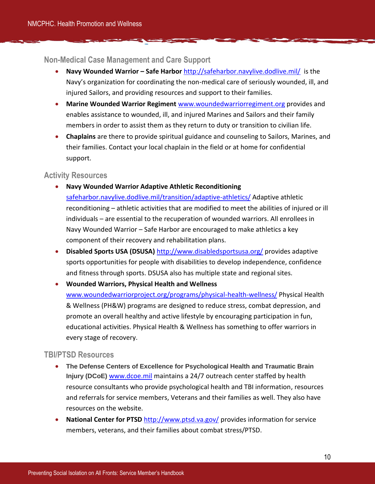#### <span id="page-11-0"></span>**Non-Medical Case Management and Care Support**

- **Navy Wounded Warrior – Safe Harbor** <http://safeharbor.navylive.dodlive.mil/>is the Navy's organization for coordinating the non-medical care of seriously wounded, ill, and injured Sailors, and providing resources and support to their families.
- **Marine Wounded Warrior Regiment** [www.woundedwarriorregiment.org](http://www.woundedwarriorregiment.org/) provides and enables assistance to wounded, ill, and injured Marines and Sailors and their family members in order to assist them as they return to duty or transition to civilian life.
- **Chaplains** are there to provide spiritual guidance and counseling to Sailors, Marines, and their families. Contact your local chaplain in the field or at home for confidential support.

#### <span id="page-11-1"></span>**Activity Resources**

- **Navy Wounded Warrior Adaptive Athletic Reconditioning** [safeharbor.navylive.dodlive.mil/transition/adaptive-athletics/](http://safeharbor.navylive.dodlive.mil/transition/adaptive-athletics/) Adaptive athletic reconditioning – athletic activities that are modified to meet the abilities of injured or ill individuals – are essential to the recuperation of wounded warriors. All enrollees in Navy Wounded Warrior – Safe Harbor are encouraged to make athletics a key component of their recovery and rehabilitation plans.
- **Disabled Sports USA (DSUSA)** <http://www.disabledsportsusa.org/> provides adaptive sports opportunities for people with disabilities to develop independence, confidence and fitness through sports. DSUSA also has multiple state and regional sites.
- **Wounded Warriors, Physical Health and Wellness**  [www.woundedwarriorproject.org/programs/physical-health-wellness/](http://www.woundedwarriorproject.org/programs/physical-health-wellness/) Physical Health & Wellness (PH&W) programs are designed to reduce stress, combat depression, and promote an overall healthy and active lifestyle by encouraging participation in fun, educational activities. Physical Health & Wellness has something to offer warriors in every stage of recovery.

#### <span id="page-11-2"></span>**TBI/PTSD Resources**

- **The Defense Centers of Excellence for Psychological Health and Traumatic Brain Injury (DCoE)** [www.dcoe.mil](http://www.dcoe.mil/) maintains a 24/7 outreach center staffed by health resource consultants who provide psychological health and TBI information, resources and referrals for service members, Veterans and their families as well. They also have resources on the website.
- **National Center for PTSD** <http://www.ptsd.va.gov/> provides information for service members, veterans, and their families about combat stress/PTSD.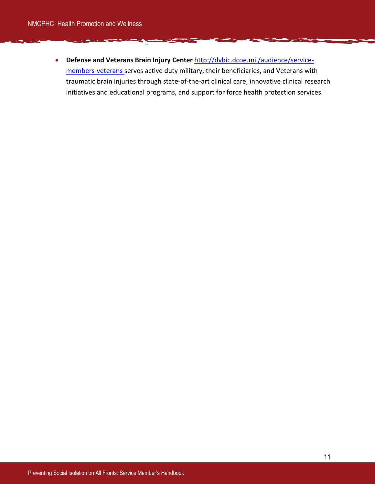**Defense and Veterans Brain Injury Center** [http://dvbic.dcoe.mil/audience/service](http://dvbic.dcoe.mil/audience/service-members-veterans)[members-veterans](http://dvbic.dcoe.mil/audience/service-members-veterans) serves active duty military, their beneficiaries, and Veterans with traumatic brain injuries through state-of-the-art clinical care, innovative clinical research initiatives and educational programs, and support for force health protection services.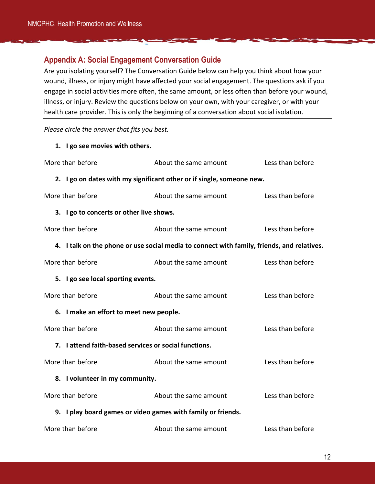## <span id="page-13-0"></span>**Appendix A: Social Engagement Conversation Guide**

Are you isolating yourself? The Conversation Guide below can help you think about how your wound, illness, or injury might have affected your social engagement. The questions ask if you engage in social activities more often, the same amount, or less often than before your wound, illness, or injury. Review the questions below on your own, with your caregiver, or with your health care provider. This is only the beginning of a conversation about social isolation.

*Please circle the answer that fits you best.* 

**1. I go see movies with others.** 

| More than before                                                      | About the same amount                                                                      | Less than before |  |  |  |
|-----------------------------------------------------------------------|--------------------------------------------------------------------------------------------|------------------|--|--|--|
| 2. I go on dates with my significant other or if single, someone new. |                                                                                            |                  |  |  |  |
| More than before                                                      | About the same amount                                                                      | Less than before |  |  |  |
| 3. I go to concerts or other live shows.                              |                                                                                            |                  |  |  |  |
| More than before                                                      | About the same amount                                                                      | Less than before |  |  |  |
|                                                                       | 4. I talk on the phone or use social media to connect with family, friends, and relatives. |                  |  |  |  |
| More than before                                                      | About the same amount                                                                      | Less than before |  |  |  |
| 5. I go see local sporting events.                                    |                                                                                            |                  |  |  |  |
| More than before                                                      | About the same amount                                                                      | Less than before |  |  |  |
| 6. I make an effort to meet new people.                               |                                                                                            |                  |  |  |  |
| More than before                                                      | About the same amount                                                                      | Less than before |  |  |  |
| 7. I attend faith-based services or social functions.                 |                                                                                            |                  |  |  |  |
| More than before                                                      | About the same amount                                                                      | Less than before |  |  |  |
| 8. I volunteer in my community.                                       |                                                                                            |                  |  |  |  |
| More than before                                                      | About the same amount                                                                      | Less than before |  |  |  |
| 9. I play board games or video games with family or friends.          |                                                                                            |                  |  |  |  |
| More than before                                                      | About the same amount                                                                      | Less than before |  |  |  |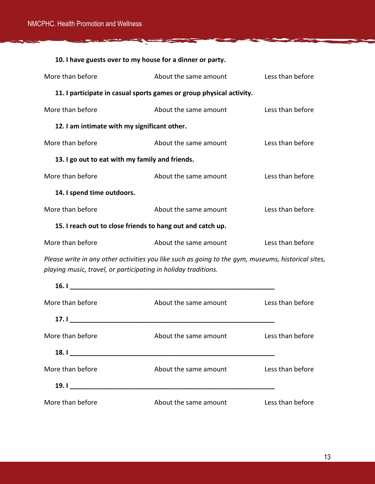| 10. I have guests over to my house for a dinner or party.            |                       |                  |  |  |
|----------------------------------------------------------------------|-----------------------|------------------|--|--|
| More than before                                                     | About the same amount | Less than before |  |  |
| 11. I participate in casual sports games or group physical activity. |                       |                  |  |  |
| More than before                                                     | About the same amount | Less than before |  |  |
| 12. I am intimate with my significant other.                         |                       |                  |  |  |
| More than before                                                     | About the same amount | Less than before |  |  |
| 13. I go out to eat with my family and friends.                      |                       |                  |  |  |
| More than before                                                     | About the same amount | Less than before |  |  |
| 14. I spend time outdoors.                                           |                       |                  |  |  |
| More than before                                                     | About the same amount | Less than before |  |  |
| 15. I reach out to close friends to hang out and catch up.           |                       |                  |  |  |
| More than before                                                     | About the same amount | Less than before |  |  |
|                                                                      |                       |                  |  |  |

Ħ

 $\blacktriangleright$ 

*Please write in any other activities you like such as going to the gym, museums, historical sites, playing music, travel, or participating in holiday traditions.* 

| 16.1             |                       |                  |
|------------------|-----------------------|------------------|
| More than before | About the same amount | Less than before |
|                  |                       |                  |
| More than before | About the same amount | Less than before |
|                  |                       |                  |
| More than before | About the same amount | Less than before |
|                  |                       |                  |
| More than before | About the same amount | Less than before |